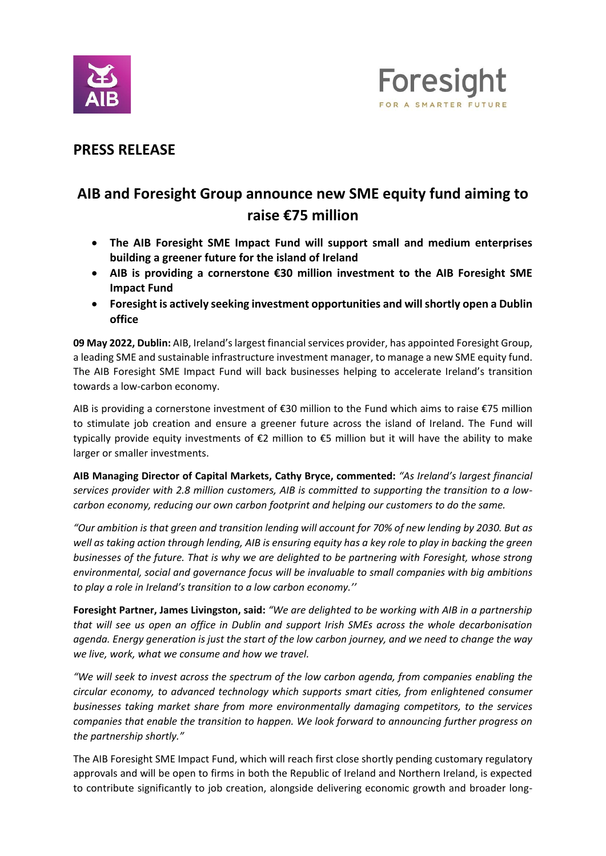



## **PRESS RELEASE**

# **AIB and Foresight Group announce new SME equity fund aiming to raise €75 million**

- **The AIB Foresight SME Impact Fund will support small and medium enterprises building a greener future for the island of Ireland**
- **AIB is providing a cornerstone €30 million investment to the AIB Foresight SME Impact Fund**
- **Foresight is actively seeking investment opportunities and will shortly open a Dublin office**

**09 May 2022, Dublin:** AIB, Ireland's largest financial services provider, has appointed Foresight Group, a leading SME and sustainable infrastructure investment manager, to manage a new SME equity fund. The AIB Foresight SME Impact Fund will back businesses helping to accelerate Ireland's transition towards a low-carbon economy.

AIB is providing a cornerstone investment of €30 million to the Fund which aims to raise €75 million to stimulate job creation and ensure a greener future across the island of Ireland. The Fund will typically provide equity investments of €2 million to €5 million but it will have the ability to make larger or smaller investments.

**AIB Managing Director of Capital Markets, Cathy Bryce, commented:** *"As Ireland's largest financial services provider with 2.8 million customers, AIB is committed to supporting the transition to a lowcarbon economy, reducing our own carbon footprint and helping our customers to do the same.*

*"Our ambition is that green and transition lending will account for 70% of new lending by 2030. But as well as taking action through lending, AIB is ensuring equity has a key role to play in backing the green businesses of the future. That is why we are delighted to be partnering with Foresight, whose strong environmental, social and governance focus will be invaluable to small companies with big ambitions to play a role in Ireland's transition to a low carbon economy.''*

**Foresight Partner, James Livingston, said:** *"We are delighted to be working with AIB in a partnership that will see us open an office in Dublin and support Irish SMEs across the whole decarbonisation agenda. Energy generation is just the start of the low carbon journey, and we need to change the way we live, work, what we consume and how we travel.*

*"We will seek to invest across the spectrum of the low carbon agenda, from companies enabling the circular economy, to advanced technology which supports smart cities, from enlightened consumer businesses taking market share from more environmentally damaging competitors, to the services companies that enable the transition to happen. We look forward to announcing further progress on the partnership shortly."*

The AIB Foresight SME Impact Fund, which will reach first close shortly pending customary regulatory approvals and will be open to firms in both the Republic of Ireland and Northern Ireland, is expected to contribute significantly to job creation, alongside delivering economic growth and broader long-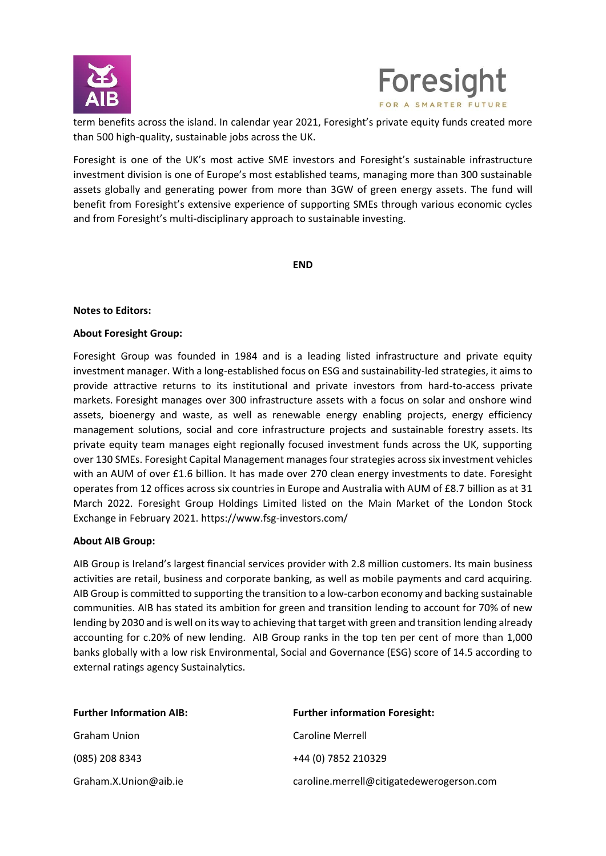



term benefits across the island. In calendar year 2021, Foresight's private equity funds created more than 500 high-quality, sustainable jobs across the UK.

Foresight is one of the UK's most active SME investors and Foresight's sustainable infrastructure investment division is one of Europe's most established teams, managing more than 300 sustainable assets globally and generating power from more than 3GW of green energy assets. The fund will benefit from Foresight's extensive experience of supporting SMEs through various economic cycles and from Foresight's multi-disciplinary approach to sustainable investing.

**END**

### **Notes to Editors:**

#### **About Foresight Group:**

Foresight Group was founded in 1984 and is a leading listed infrastructure and private equity investment manager. With a long-established focus on ESG and sustainability-led strategies, it aims to provide attractive returns to its institutional and private investors from hard-to-access private markets. Foresight manages over 300 infrastructure assets with a focus on solar and onshore wind assets, bioenergy and waste, as well as renewable energy enabling projects, energy efficiency management solutions, social and core infrastructure projects and sustainable forestry assets. Its private equity team manages eight regionally focused investment funds across the UK, supporting over 130 SMEs. Foresight Capital Management manages four strategies across six investment vehicles with an AUM of over £1.6 billion. It has made over 270 clean energy investments to date. Foresight operates from 12 offices across six countries in Europe and Australia with AUM of £8.7 billion as at 31 March 2022. Foresight Group Holdings Limited listed on the Main Market of the London Stock Exchange in February 2021[. https://www.fsg-investors.com/](https://protect-eu.mimecast.com/s/E2_RCQ1J9FBwoDtxrjLA?domain=fsg-investors.com/)

### **About AIB Group:**

AIB Group is Ireland's largest financial services provider with 2.8 million customers. Its main business activities are retail, business and corporate banking, as well as mobile payments and card acquiring. AIB Group is committed to supporting the transition to a low-carbon economy and backing sustainable communities. AIB has stated its ambition for green and transition lending to account for 70% of new lending by 2030 and is well on its way to achieving that target with green and transition lending already accounting for c.20% of new lending. AIB Group ranks in the top ten per cent of more than 1,000 banks globally with a low risk Environmental, Social and Governance (ESG) score of 14.5 according to external ratings agency Sustainalytics.

| <b>Further Information AIB:</b> | <b>Further information Foresight:</b>     |
|---------------------------------|-------------------------------------------|
| <b>Graham Union</b>             | Caroline Merrell                          |
| (085) 208 8343                  | +44 (0) 7852 210329                       |
| Graham.X.Union@aib.ie           | caroline.merrell@citigatedewerogerson.com |